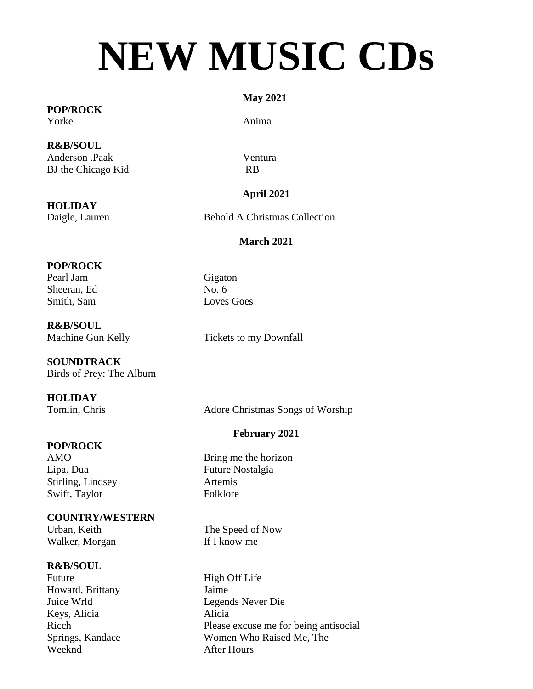# **NEW MUSIC CDs**

#### **POP/ROCK** Yorke Anima

**R&B/SOUL** Anderson .Paak Ventura BJ the Chicago Kid RB

**HOLIDAY**

#### **May 2021**

### **April 2021**

Daigle, Lauren Behold A Christmas Collection

### **March 2021**

#### **POP/ROCK**

Pearl Jam Gigaton Sheeran, Ed No. 6 Smith, Sam Loves Goes

**R&B/SOUL** Machine Gun Kelly Tickets to my Downfall

**SOUNDTRACK** Birds of Prey: The Album

#### **HOLIDAY**

Tomlin, Chris Adore Christmas Songs of Worship

#### **POP/ROCK**

Stirling, Lindsey Artemis Swift, Taylor Folklore

#### **COUNTRY/WESTERN**

Urban, Keith The Speed of Now Walker, Morgan If I know me

#### **R&B/SOUL**

Future High Off Life Howard, Brittany Jaime Keys, Alicia Alicia Weeknd **After Hours** 

#### **February 2021**

AMO Bring me the horizon Lipa. Dua Future Nostalgia

Juice Wrld Legends Never Die Ricch Please excuse me for being antisocial Springs, Kandace Women Who Raised Me, The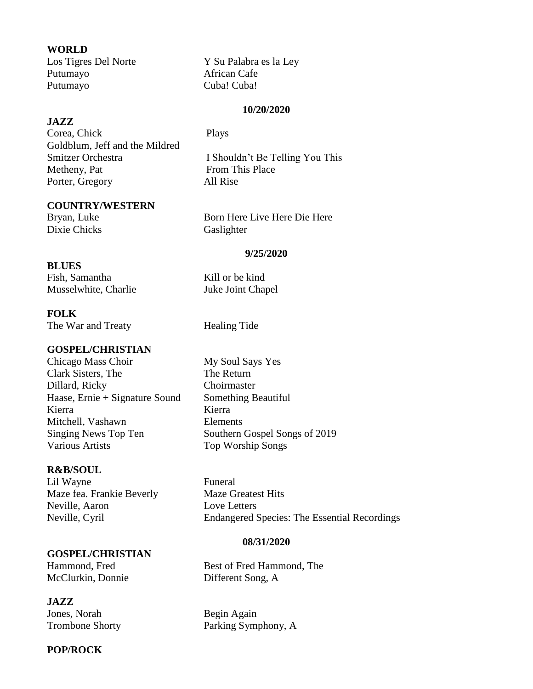#### **WORLD**

Putumayo African Cafe Putumayo Cuba! Cuba!

Los Tigres Del Norte Y Su Palabra es la Ley

#### **10/20/2020**

#### **JAZZ**

Corea, Chick Plays Goldblum, Jeff and the Mildred Smitzer Orchestra **I** Shouldn't Be Telling You This Metheny, Pat From This Place Porter, Gregory All Rise

#### **COUNTRY/WESTERN**

Dixie Chicks Gaslighter

Bryan, Luke Born Here Live Here Die Here

#### **9/25/2020**

#### **BLUES**

Fish, Samantha Kill or be kind Musselwhite, Charlie Juke Joint Chapel

#### **FOLK**

The War and Treaty **Healing Tide** 

#### **GOSPEL/CHRISTIAN**

Chicago Mass Choir My Soul Says Yes Clark Sisters, The The Return Dillard, Ricky Choirmaster Haase, Ernie + Signature Sound Something Beautiful Kierra Kierra Kierra Mitchell, Vashawn Elements Singing News Top Ten Southern Gospel Songs of 2019 Various Artists Top Worship Songs

#### **R&B/SOUL**

Lil Wayne Funeral Maze fea. Frankie Beverly Maze Greatest Hits Neville, Aaron Love Letters

#### **GOSPEL/CHRISTIAN**

McClurkin, Donnie Different Song, A

#### **JAZZ**

Jones, Norah Begin Again

#### **POP/ROCK**

Neville, Cyril Endangered Species: The Essential Recordings

#### **08/31/2020**

Hammond, Fred Best of Fred Hammond, The

Trombone Shorty Parking Symphony, A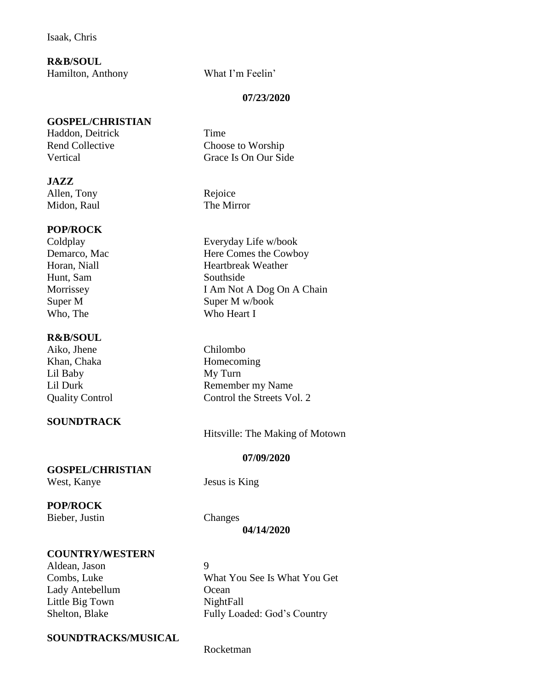Isaak, Chris

**R&B/SOUL** Hamilton, Anthony What I'm Feelin'

**GOSPEL/CHRISTIAN**

Haddon, Deitrick Time

**JAZZ**

Midon, Raul The Mirror

#### **POP/ROCK**

Hunt, Sam Southside Who, The Who Heart I

#### **R&B/SOUL**

Aiko, Jhene Chilombo Khan, Chaka Homecoming Lil Baby My Turn

#### **SOUNDTRACK**

**GOSPEL/CHRISTIAN**

West, Kanye Jesus is King

**POP/ROCK**

Bieber, Justin Changes

**04/14/2020**

#### **COUNTRY/WESTERN**

Aldean, Jason 9 Lady Antebellum Ocean Little Big Town NightFall

Combs, Luke What You See Is What You Get Shelton, Blake Fully Loaded: God's Country

#### **SOUNDTRACKS/MUSICAL**

#### **07/23/2020**

Rend Collective Choose to Worship Vertical Grace Is On Our Side

Allen, Tony Rejoice

Coldplay Everyday Life w/book Demarco, Mac Here Comes the Cowboy Horan, Niall **Heartbreak** Weather Morrissey I Am Not A Dog On A Chain Super M W/book

Lil Durk Remember my Name Quality Control Control the Streets Vol. 2

Hitsville: The Making of Motown

#### **07/09/2020**

Rocketman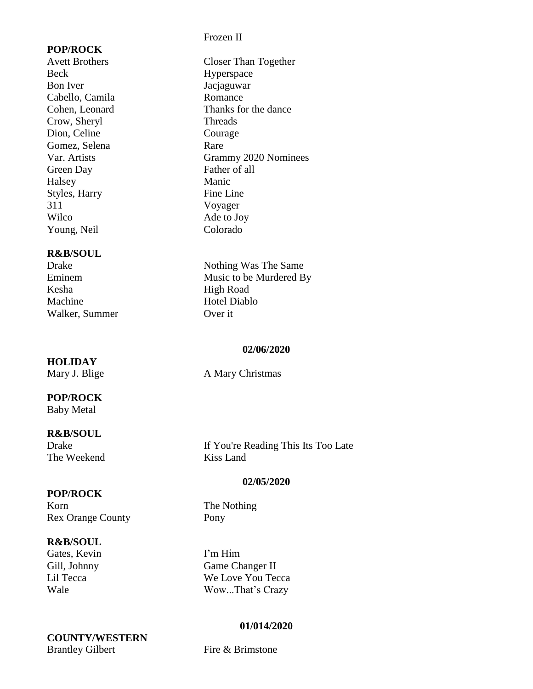#### **POP/ROCK**

Beck Hyperspace Bon Iver Jacjaguwar Cabello, Camila Romance Crow, Sheryl Threads Dion, Celine Courage Gomez, Selena Rare Green Day Father of all Halsey Manic Styles, Harry Fine Line 311 Voyager Wilco Ade to Joy Young, Neil Colorado

#### **R&B/SOUL**

Kesha High Road Machine Hotel Diablo Walker, Summer Over it

**HOLIDAY**

#### **POP/ROCK**

Baby Metal

# **R&B/SOUL**

The Weekend Kiss Land

#### **POP/ROCK**

Korn The Nothing Rex Orange County Pony

#### **R&B/SOUL**

Gates, Kevin I'm Him

**COUNTY/WESTERN** Brantley Gilbert Fire & Brimstone

#### Frozen II

Avett Brothers Closer Than Together Cohen, Leonard Thanks for the dance Var. Artists Grammy 2020 Nominees

Drake Nothing Was The Same Eminem Music to be Murdered By

#### **02/06/2020**

Mary J. Blige A Mary Christmas

If You're Reading This Its Too Late

#### **02/05/2020**

Gill, Johnny Game Changer II Lil Tecca We Love You Tecca Wale Wow...That's Crazy

#### **01/014/2020**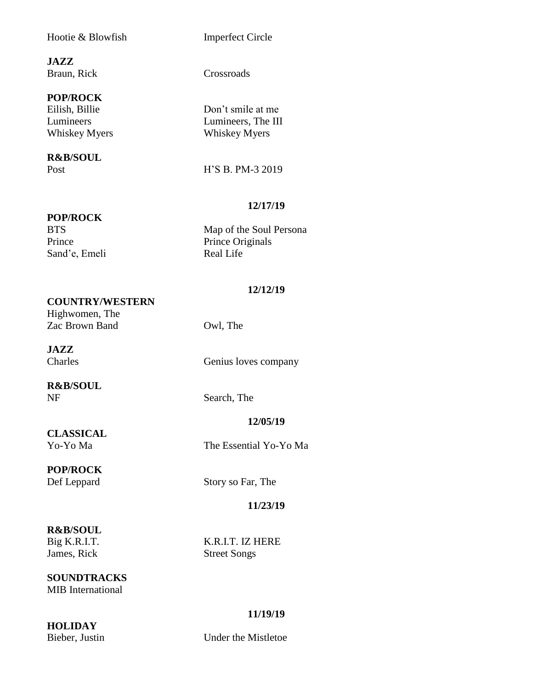#### Hootie & Blowfish Imperfect Circle

**JAZZ** Braun, Rick Crossroads

#### **POP/ROCK**

## **R&B/SOUL**

#### **POP/ROCK**

Sand'e, Emeli Real Life

Eilish, Billie Don't smile at me Lumineers Lumineers, The III Whiskey Myers Whiskey Myers

Post **H**'S B. PM-3 2019

#### **12/17/19**

BTS Map of the Soul Persona Prince Prince Originals

#### **12/12/19**

#### **COUNTRY/WESTERN**

Highwomen, The Zac Brown Band Owl, The

**JAZZ**

**R&B/SOUL** NF Search, The

Charles Genius loves company

#### **12/05/19**

Yo-Yo Ma The Essential Yo-Yo Ma

### **POP/ROCK**

**CLASSICAL**<br>Yo-Yo Ma

Def Leppard Story so Far, The

#### **11/23/19**

# **R&B/SOUL**

James, Rick Street Songs

#### **SOUNDTRACKS** MIB International

**HOLIDAY**

#### **11/19/19**

Bieber, Justin Under the Mistletoe

Big K.R.I.T. K.R.I.T. IZ HERE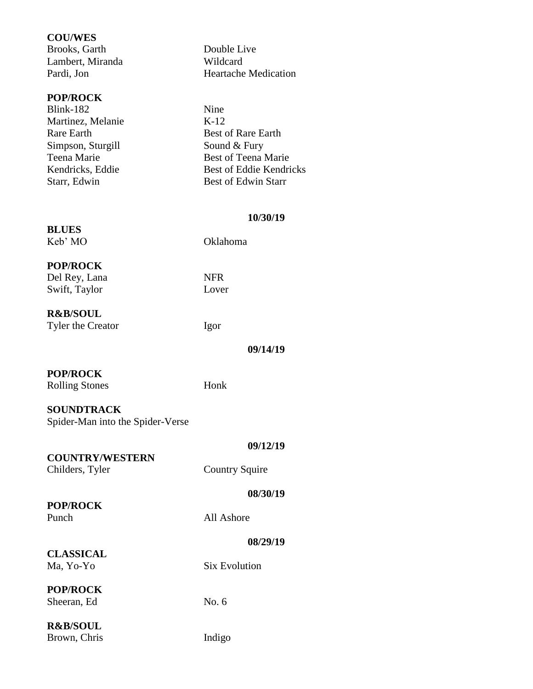#### **COU/WES**

Brooks, Garth Double Live Lambert, Miranda Wildcard Pardi, Jon Heartache Medication

#### **POP/ROCK**

| Blink-182         | Nine                       |
|-------------------|----------------------------|
| Martinez, Melanie | $K-12$                     |
| Rare Earth        | <b>Best of Rare Earth</b>  |
| Simpson, Sturgill | Sound & Fury               |
| Teena Marie       | Best of Teena Marie        |
| Kendricks, Eddie  | Best of Eddie Kendricks    |
| Starr, Edwin      | <b>Best of Edwin Starr</b> |
|                   |                            |

#### **10/30/19**

**BLUES**

Keb' MO Oklahoma

#### **POP/ROCK**

Del Rey, Lana NFR Swift, Taylor Lover

**R&B/SOUL** Tyler the Creator Igor

**09/14/19**

#### **POP/ROCK**

Rolling Stones Honk

#### **SOUNDTRACK**

Spider-Man into the Spider-Verse

**COUNTRY/WESTERN**

#### **09/12/19**

Childers, Tyler Country Squire

#### **08/30/19**

**POP/ROCK**

Punch All Ashore

#### **08/29/19**

#### **CLASSICAL** Ma, Yo-Yo Six Evolution

#### **POP/ROCK** Sheeran, Ed No. 6

### **R&B/SOUL**

Brown, Chris Indigo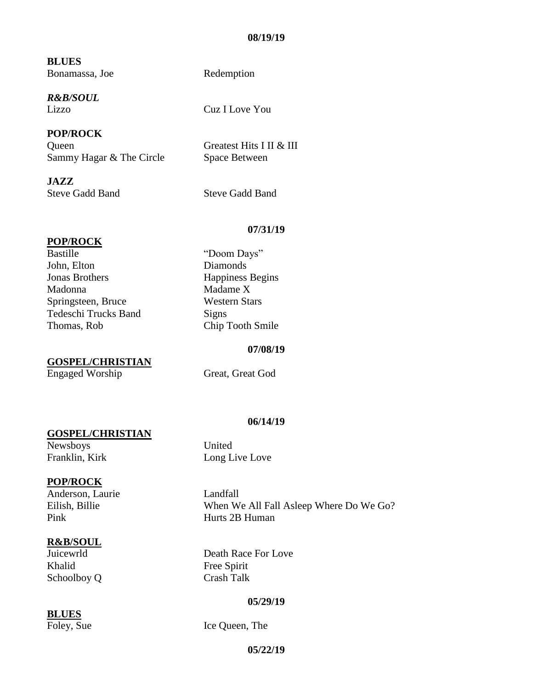#### **08/19/19**

**BLUES** Bonamassa, Joe Redemption

*R&B/SOUL*

**POP/ROCK** Queen Greatest Hits I II & III Sammy Hagar & The Circle Space Between

**JAZZ** Steve Gadd Band<br>
Steve Gadd Band

Lizzo Cuz I Love You

#### **POP/ROCK**

Bastille "Doom Days" John, Elton Diamonds **Jonas Brothers** Happiness Begins Madonna Madame X Springsteen, Bruce Western Stars Tedeschi Trucks Band Signs Thomas, Rob Chip Tooth Smile

**GOSPEL/CHRISTIAN**

#### **07/08/19**

**06/14/19**

**07/31/19**

Engaged Worship Great, Great God

#### **GOSPEL/CHRISTIAN**

Newsboys United Franklin, Kirk Long Live Love

#### **POP/ROCK**

Anderson, Laurie Landfall Pink Hurts 2B Human

#### **R&B/SOUL**

Khalid Free Spirit Schoolboy Q Crash Talk

#### **BLUES**

Eilish, Billie When We All Fall Asleep Where Do We Go?

Juicewrld Death Race For Love

#### **05/29/19**

Foley, Sue Ice Queen, The

#### **05/22/19**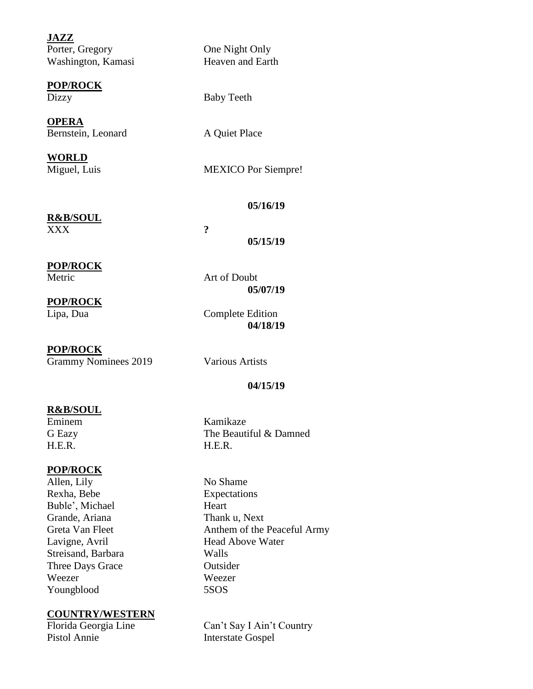**JAZZ** Porter, Gregory One Night Only Washington, Kamasi Heaven and Earth

**POP/ROCK** Dizzy Baby Teeth

**OPERA** Bernstein, Leonard A Quiet Place

**WORLD**

Miguel, Luis MEXICO Por Siempre!

#### **05/16/19**

**R&B/SOUL** XXX **?**

**05/15/19**

#### **POP/ROCK**

Metric Art of Doubt

**05/07/19**

**POP/ROCK**

Lipa, Dua Complete Edition

#### **POP/ROCK**

Grammy Nominees 2019 Various Artists

#### **04/15/19**

**04/18/19**

#### **R&B/SOUL**

Eminem Kamikaze H.E.R. H.E.R.

#### **POP/ROCK**

Allen, Lily No Shame Rexha, Bebe Expectations Buble', Michael Heart Grande, Ariana Thank u, Next Streisand, Barbara Walls Three Days Grace **Outsider** Weezer Weezer Youngblood 5SOS

# **COUNTRY/WESTERN**

G Eazy The Beautiful & Damned

Greta Van Fleet Anthem of the Peaceful Army Lavigne, Avril Head Above Water

Can't Say I Ain't Country Pistol Annie Interstate Gospel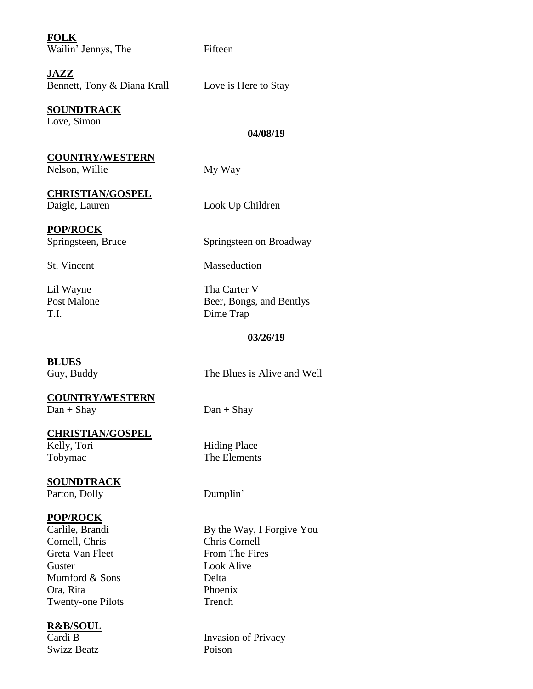| <b>FOLK</b><br>Wailin' Jennys, The       | Fifteen                     |
|------------------------------------------|-----------------------------|
| JAZZ<br>Bennett, Tony & Diana Krall      | Love is Here to Stay        |
| <b>SOUNDTRACK</b><br>Love, Simon         | 04/08/19                    |
|                                          |                             |
| <b>COUNTRY/WESTERN</b><br>Nelson, Willie | My Way                      |
| <b>CHRISTIAN/GOSPEL</b>                  |                             |
| Daigle, Lauren                           | Look Up Children            |
|                                          |                             |
| <b>POP/ROCK</b>                          |                             |
| Springsteen, Bruce                       | Springsteen on Broadway     |
| St. Vincent                              | Masseduction                |
| Lil Wayne                                | Tha Carter V                |
| <b>Post Malone</b>                       | Beer, Bongs, and Bentlys    |
| T.I.                                     | Dime Trap                   |
|                                          | 03/26/19                    |
|                                          |                             |
| <b>BLUES</b>                             |                             |
| Guy, Buddy                               | The Blues is Alive and Well |
| <b>COUNTRY/WESTERN</b>                   |                             |
| $Dan + Shaw$                             | $Dan + Shay$                |
|                                          |                             |
| <b>CHRISTIAN/GOSPEL</b>                  |                             |
| Kelly, Tori                              |                             |
|                                          | <b>Hiding Place</b>         |
| Tobymac                                  | The Elements                |
|                                          |                             |
| <b>SOUNDTRACK</b>                        |                             |
| Parton, Dolly                            | Dumplin'                    |
| <b>POP/ROCK</b>                          |                             |
| Carlile, Brandi                          | By the Way, I Forgive You   |
| Cornell, Chris                           | <b>Chris Cornell</b>        |
| Greta Van Fleet                          | From The Fires              |
| Guster                                   | <b>Look Alive</b>           |
| Mumford & Sons                           | Delta                       |
| Ora, Rita<br><b>Twenty-one Pilots</b>    | Phoenix<br>Trench           |

**R&B/SOUL**

Swizz Beatz

Invasion of Privacy<br>Poison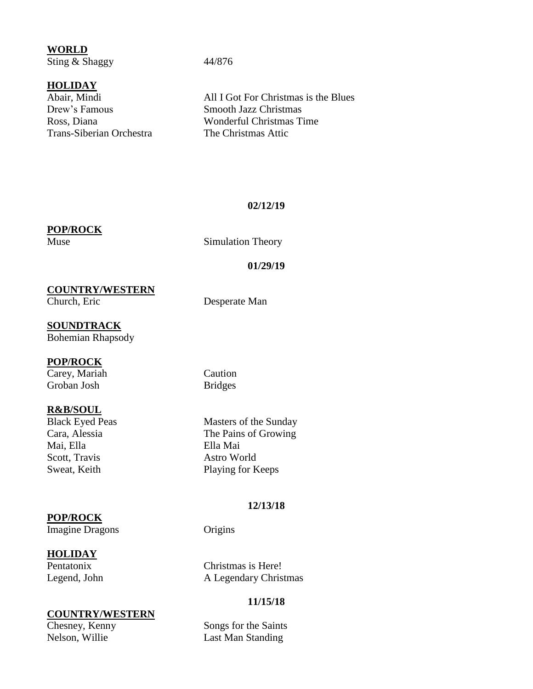**WORLD** Sting & Shaggy 44/876

#### **HOLIDAY**

Drew's Famous Smooth Jazz Christmas Trans-Siberian Orchestra The Christmas Attic

Abair, Mindi All I Got For Christmas is the Blues Ross, Diana Wonderful Christmas Time

#### **02/12/19**

#### **POP/ROCK**

Muse Simulation Theory

# **01/29/19**

**COUNTRY/WESTERN**

Desperate Man

# **SOUNDTRACK**

Bohemian Rhapsody

#### **POP/ROCK**

Carey, Mariah Caution Groban Josh Bridges

**R&B/SOUL**<br>Black Eyed Peas Mai, Ella Ella Mai Scott, Travis Astro World

#### **POP/ROCK**

Imagine Dragons Origins

#### **HOLIDAY**

# **COUNTRY/WESTERN**<br>Chesney, Kenny

Masters of the Sunday Cara, Alessia The Pains of Growing Sweat, Keith Playing for Keeps

#### **12/13/18**

Pentatonix Christmas is Here! Legend, John A Legendary Christmas

#### **11/15/18**

Songs for the Saints Nelson, Willie Last Man Standing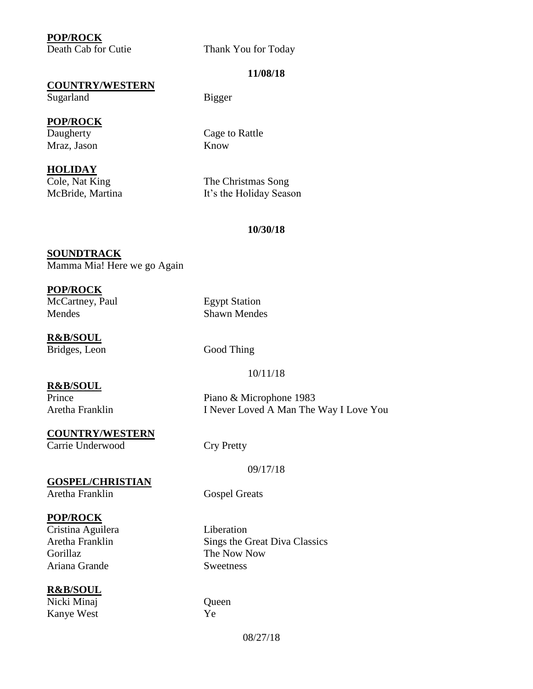#### **POP/ROCK**

Death Cab for Cutie Thank You for Today

#### **11/08/18**

#### **COUNTRY/WESTERN**

Sugarland Bigger

#### **POP/ROCK**

Mraz, Jason Know

#### **HOLIDAY**

Daugherty Cage to Rattle

Cole, Nat King The Christmas Song McBride, Martina It's the Holiday Season

#### **10/30/18**

#### **SOUNDTRACK** Mamma Mia! Here we go Again

### **POP/ROCK**

McCartney, Paul Egypt Station Mendes Shawn Mendes

**R&B/SOUL** Bridges, Leon Good Thing

#### **R&B/SOUL**

Aretha Franklin I Never Loved A Man The Way I Love You

#### **COUNTRY/WESTERN** Carrie Underwood Cry Pretty

#### **GOSPEL/CHRISTIAN** Aretha Franklin Gospel Greats

#### **POP/ROCK**

Cristina Aguilera Liberation Gorillaz The Now Now Ariana Grande Sweetness

#### **R&B/SOUL** Nicki Minaj Queen

Kanye West Ye

10/11/18

Prince Piano & Microphone 1983

#### 09/17/18

Sings the Great Diva Classics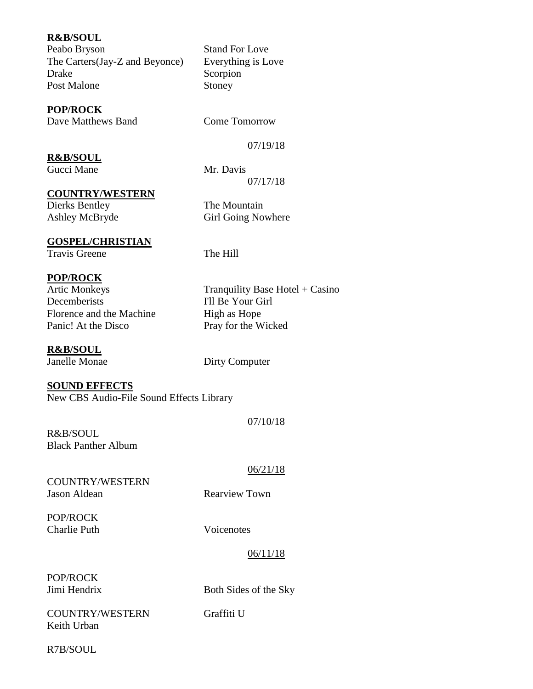#### **R&B/SOUL**

Peabo Bryson Stand For Love The Carters(Jay-Z and Beyonce) Everything is Love Drake Scorpion Post Malone Stoney

#### **POP/ROCK**

Dave Matthews Band Come Tomorrow

07/19/18

**R&B/SOUL** Gucci Mane Mr. Davis

07/17/18

**COUNTRY/WESTERN**

Dierks Bentley The Mountain Ashley McBryde Girl Going Nowhere

### **GOSPEL/CHRISTIAN**

Travis Greene The Hill

#### **POP/ROCK**

Artic Monkeys Tranquility Base Hotel + Casino Decemberists I'll Be Your Girl Florence and the Machine High as Hope Panic! At the Disco Pray for the Wicked

**R&B/SOUL**

Janelle Monae Dirty Computer

#### **SOUND EFFECTS**

New CBS Audio-File Sound Effects Library

R&B/SOUL Black Panther Album

COUNTRY/WESTERN Jason Aldean Rearview Town

POP/ROCK Charlie Puth Voicenotes

#### 06/11/18

07/10/18

06/21/18

POP/ROCK

Jimi Hendrix Both Sides of the Sky

COUNTRY/WESTERN Graffiti U Keith Urban

R7B/SOUL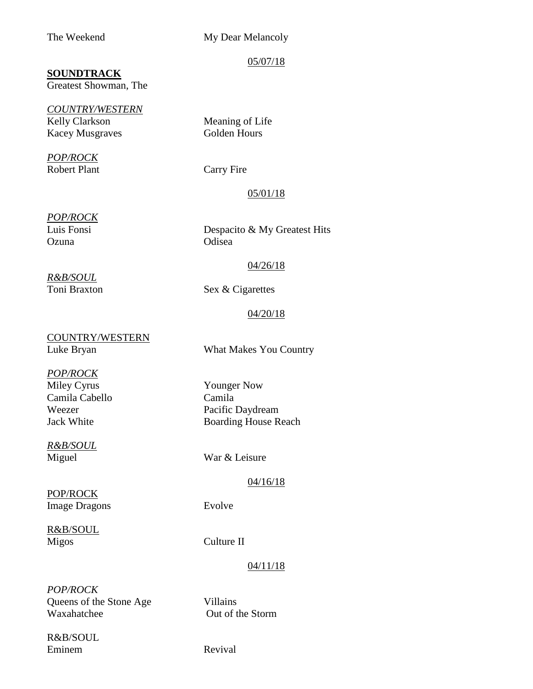#### The Weekend My Dear Melancoly

05/07/18

#### **SOUNDTRACK**

Greatest Showman, The

*COUNTRY/WESTERN* Kelly Clarkson Meaning of Life Kacey Musgraves Golden Hours

*POP/ROCK* Robert Plant Carry Fire

#### 05/01/18

*POP/ROCK* Ozuna Odisea

Luis Fonsi Despacito & My Greatest Hits

#### 04/26/18

*R&B/SOUL*

Toni Braxton Sex & Cigarettes

#### 04/20/18

COUNTRY/WESTERN Luke Bryan What Makes You Country

*POP/ROCK* Miley Cyrus Younger Now Camila Cabello Camila

*R&B/SOUL*

POP/ROCK Image Dragons Evolve

R&B/SOUL Migos Culture II

Weezer Pacific Daydream Jack White Boarding House Reach

Miguel War & Leisure

#### 04/16/18

#### 04/11/18

*POP/ROCK* Queens of the Stone Age Villains Waxahatchee Out of the Storm

R&B/SOUL Eminem Revival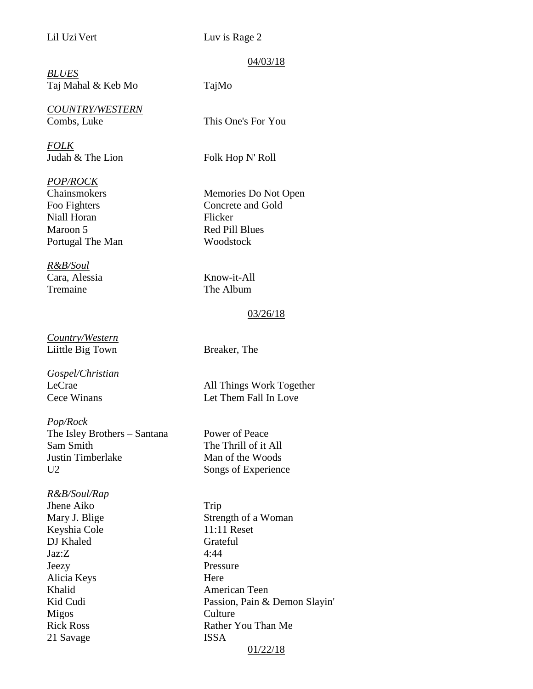Lil Uzi Vert Luv is Rage 2

#### 04/03/18

*BLUES* Taj Mahal & Keb Mo TajMo

*COUNTRY/WESTERN* Combs, Luke This One's For You

*FOLK* Judah & The Lion Folk Hop N' Roll

*POP/ROCK*

Niall Horan Flicker Maroon 5 Red Pill Blues Portugal The Man Woodstock

*R&B/Soul* Cara, Alessia Know-it-All Tremaine The Album

*Country/Western* Liittle Big Town Breaker, The

*Gospel/Christian*

*Pop/Rock* The Isley Brothers – Santana Power of Peace Sam Smith The Thrill of it All Justin Timberlake Man of the Woods U2 Songs of Experience

*R&B/Soul/Rap* Jhene Aiko Trip Keyshia Cole 11:11 Reset DJ Khaled Grateful  $\text{Jaz:Z}$  4:44 Jeezy Pressure Alicia Keys Here Migos Culture 21 Savage ISSA

Chainsmokers Memories Do Not Open Foo Fighters Concrete and Gold

#### 03/26/18

LeCrae All Things Work Together Cece Winans Let Them Fall In Love

Mary J. Blige Strength of a Woman Khalid American Teen Kid Cudi Passion, Pain & Demon Slayin' Rick Ross Rather You Than Me 01/22/18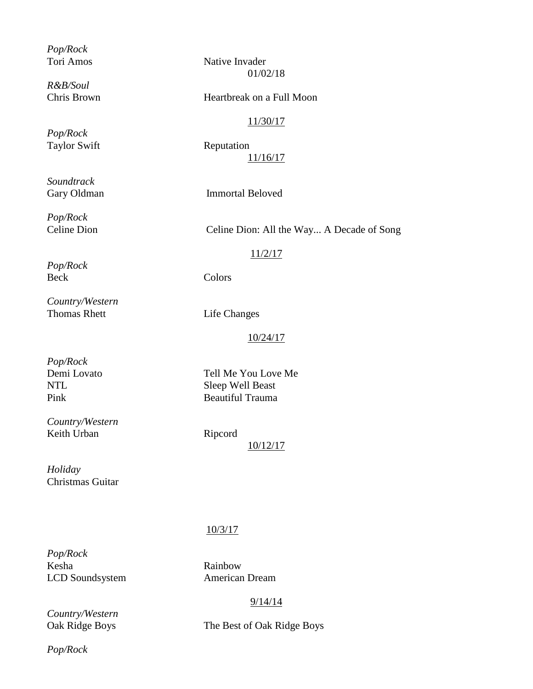*Pop/Rock*

*R&B/Soul*

*Pop/Rock* Taylor Swift Reputation

*Soundtrack*

*Pop/Rock*

*Pop/Rock*

*Country/Western* Thomas Rhett Life Changes

Tori Amos Native Invader 01/02/18

#### Chris Brown Heartbreak on a Full Moon

#### 11/30/17

11/16/17

Gary Oldman Immortal Beloved

Celine Dion Celine Dion: All the Way... A Decade of Song

#### 11/2/17

Beck Colors

#### 10/24/17

*Pop/Rock*

*Country/Western* Keith Urban Ripcord

Demi Lovato Tell Me You Love Me NTL Sleep Well Beast Pink Beautiful Trauma

10/12/17

*Holiday* Christmas Guitar

#### 10/3/17

*Pop/Rock* Kesha Rainbow LCD Soundsystem American Dream

*Country/Western*

#### 9/14/14

Oak Ridge Boys The Best of Oak Ridge Boys

*Pop/Rock*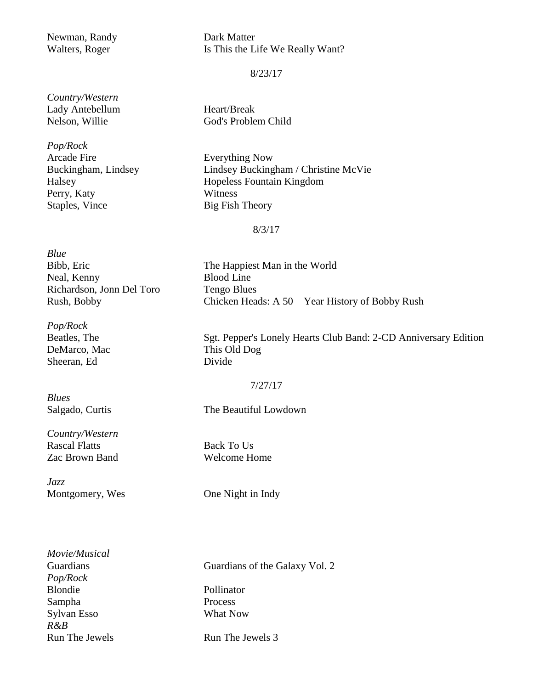# Newman, Randy Dark Matter

Walters, Roger Is This the Life We Really Want?

8/23/17

*Country/Western* Lady Antebellum Heart/Break

*Pop/Rock* Arcade Fire Everything Now Perry, Katy Witness Staples, Vince Big Fish Theory

Nelson, Willie God's Problem Child

Buckingham, Lindsey Lindsey Buckingham / Christine McVie Halsey Hopeless Fountain Kingdom

8/3/17

| Blue                      |
|---------------------------|
| Bibb, Eric                |
| Neal, Kenny               |
| Richardson, Jonn Del Toro |
| Rush, Bobby               |

*Pop/Rock* DeMarco, Mac This Old Dog Sheeran, Ed Divide

*Blues*

*Country/Western* Rascal Flatts Back To Us Zac Brown Band Welcome Home

*Jazz* Montgomery, Wes One Night in Indy

The Happiest Man in the World Blood Line Tengo Blues Chicken Heads:  $A 50 - Year$  History of Bobby Rush

Beatles, The Sgt. Pepper's Lonely Hearts Club Band: 2-CD Anniversary Edition

#### 7/27/17

Salgado, Curtis The Beautiful Lowdown

*Movie/Musical Pop/Rock* Blondie Pollinator Sampha Process Sylvan Esso What Now *R&B*

Guardians Guardians of the Galaxy Vol. 2

Run The Jewels Run The Jewels 3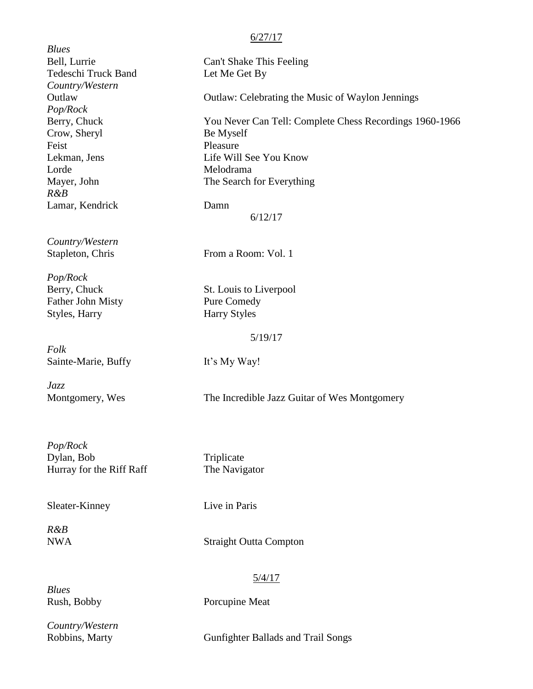|                     | 6/27/17                                                 |
|---------------------|---------------------------------------------------------|
| Blues               |                                                         |
| Bell, Lurrie        | Can't Shake This Feeling                                |
| Tedeschi Truck Band | Let Me Get By                                           |
| Country/Western     |                                                         |
| Outlaw              | <b>Outlaw: Celebrating the Music of Waylon Jennings</b> |
| Pop/Rock            |                                                         |
| Berry, Chuck        | You Never Can Tell: Complete Chess Recordings 1960-1966 |
| Crow, Sheryl        | Be Myself                                               |
| Feist               | Pleasure                                                |
| Lekman, Jens        | Life Will See You Know                                  |
| Lorde               | Melodrama                                               |
| Mayer, John         | The Search for Everything                               |
| $R\&B$              |                                                         |
| Lamar, Kendrick     | Damn                                                    |
|                     | 6/12/17                                                 |
| Country/Western     |                                                         |
| Stapleton, Chris    | From a Room: Vol. 1                                     |

*Pop/Rock* Berry, Chuck St. Louis to Liverpool Father John Misty Pure Comedy Styles, Harry Harry Styles

*Folk* Sainte-Marie, Buffy It's My Way!

*Jazz*

Montgomery, Wes The Incredible Jazz Guitar of Wes Montgomery

5/19/17

*Pop/Rock* Dylan, Bob Triplicate Hurray for the Riff Raff The Navigator

Sleater-Kinney Live in Paris

*R&B*

**Straight Outta Compton** 

*Blues*

5/4/17

Rush, Bobby Porcupine Meat

*Country/Western*

Robbins, Marty Gunfighter Ballads and Trail Songs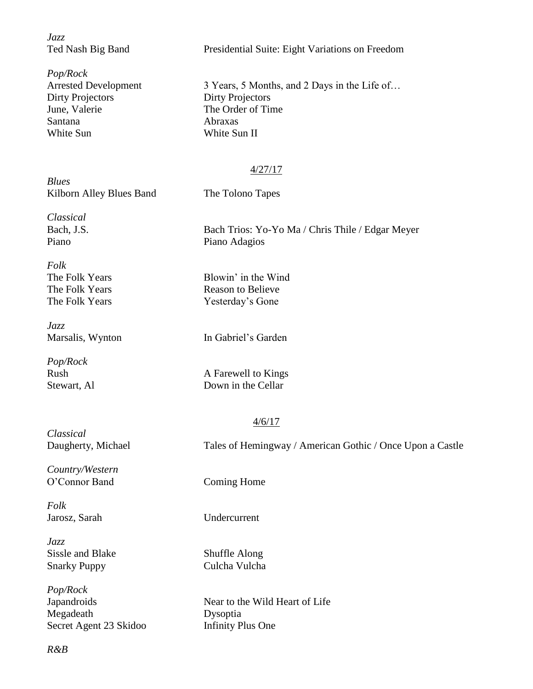*Jazz*

*Pop/Rock* Dirty Projectors Dirty Projectors June, Valerie The Order of Time Santana Abraxas White Sun White Sun II

Ted Nash Big Band Presidential Suite: Eight Variations on Freedom

Arrested Development 3 Years, 5 Months, and 2 Days in the Life of...

#### 4/27/17

*Blues* Kilborn Alley Blues Band The Tolono Tapes

*Classical*

*Folk*

*Jazz*

*Pop/Rock*

Bach, J.S. Bach Trios: Yo-Yo Ma / Chris Thile / Edgar Meyer Piano Piano Adagios

The Folk Years Blowin' in the Wind The Folk Years Reason to Believe The Folk Years Yesterday's Gone

Marsalis, Wynton In Gabriel's Garden

Rush A Farewell to Kings Stewart, Al Down in the Cellar

#### 4/6/17

*Classical* Daugherty, Michael Tales of Hemingway / American Gothic / Once Upon a Castle

*Country/Western* O'Connor Band Coming Home

*Folk*

*Jazz* Sissle and Blake Shuffle Along Snarky Puppy Culcha Vulcha

*Pop/Rock* Megadeath Dysoptia Secret Agent 23 Skidoo Infinity Plus One

Jarosz, Sarah Undercurrent

Japandroids Near to the Wild Heart of Life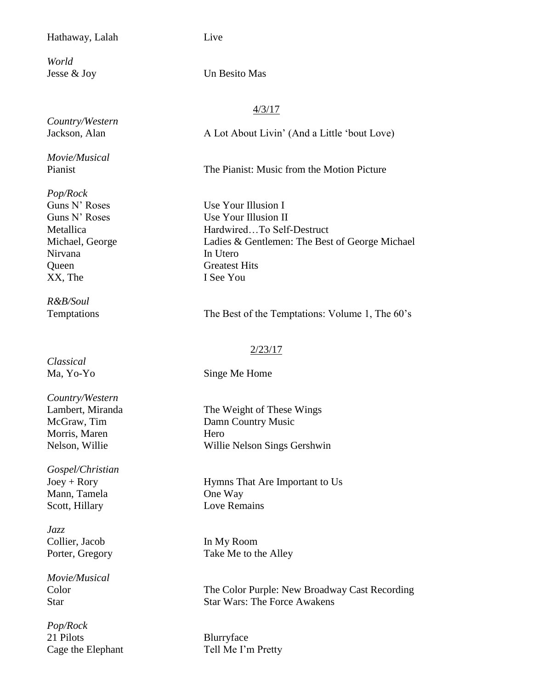#### Hathaway, Lalah Live

*World*

*Country/Western*

*Movie/Musical*

*Pop/Rock* Nirvana In Utero Queen Greatest Hits XX, The I See You

*R&B/Soul*

*Classical*

*Country/Western* Morris, Maren Hero

*Gospel/Christian* Mann, Tamela **One Way** Scott, Hillary Love Remains

*Jazz* Collier, Jacob In My Room

*Movie/Musical*

*Pop/Rock* 21 Pilots Blurryface

Jesse & Joy Un Besito Mas

#### 4/3/17

Jackson, Alan A Lot About Livin' (And a Little 'bout Love)

Pianist The Pianist: Music from the Motion Picture

Guns N' Roses Use Your Illusion I Guns N' Roses Use Your Illusion II Metallica Hardwired…To Self-Destruct Michael, George Ladies & Gentlemen: The Best of George Michael

Temptations The Best of the Temptations: Volume 1, The 60's

#### 2/23/17

Ma, Yo-Yo Singe Me Home

Lambert, Miranda The Weight of These Wings McGraw, Tim Damn Country Music Nelson, Willie Willie Nelson Sings Gershwin

Joey + Rory Hymns That Are Important to Us

Porter, Gregory Take Me to the Alley

Color The Color Purple: New Broadway Cast Recording Star Star Wars: The Force Awakens

Cage the Elephant Tell Me I'm Pretty